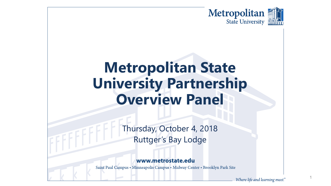

# **Metropolitan State University Partnership Overview Panel**

Thursday, October 4, 2018 Ruttger's Bay Lodge

### www.metrostate.edu

Saint Paul Campus • Minneapolis Campus • Midway Center • Brooklyn Park Site

1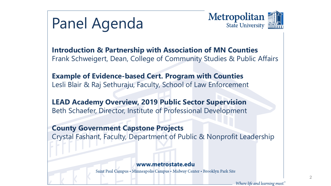



Where life and learning meet.

**Introduction & Partnership with Association of MN Counties** Frank Schweigert, Dean, College of Community Studies & Public Affairs

**Example of Evidence-based Cert. Program with Counties** Lesli Blair & Raj Sethuraju, Faculty, School of Law Enforcement

**LEAD Academy Overview, 2019 Public Sector Supervision**  Beth Schaefer, Director, Institute of Professional Development

**County Government Capstone Projects** Crystal Fashant, Faculty, Department of Public & Nonprofit Leadership

#### www.metrostate.edu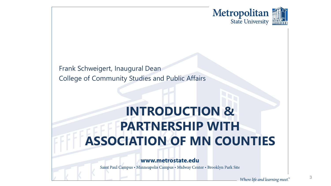

Frank Schweigert, Inaugural Dean College of Community Studies and Public Affairs

## **INTRODUCTION & PARTNERSHIP WITH ASSOCIATION OF MN COUNTIES**

### www.metrostate.edu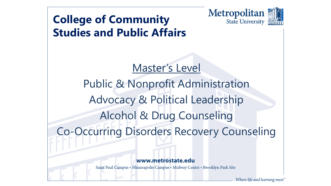

## **College of Community Studies and Public Affairs**

Master's Level Public & Nonprofit Administration Advocacy & Political Leadership Alcohol & Drug Counseling Co-Occurring Disorders Recovery Counseling

### www.metrostate.edu

Saint Paul Campus • Minneapolis Campus • Midway Center • Brooklyn Park Site

Where life and learning meet."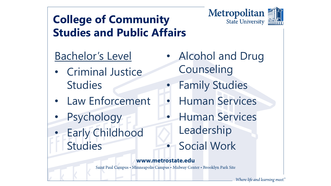

## **College of Community Studies and Public Affairs**

## Bachelor's Level

- Criminal Justice **Studies**
- Law Enforcement
- **Psychology**
- Early Childhood Studies
- Alcohol and Drug **Counseling** 
	- **Family Studies**
- Human Services
- Human Services Leadership
	- **Social Work**

### www.metrostate.edu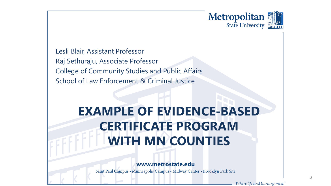

Lesli Blair, Assistant Professor Raj Sethuraju, Associate Professor College of Community Studies and Public Affairs School of Law Enforcement & Criminal Justice

## **EXAMPLE OF EVIDENCE-BASED CERTIFICATE PROGRAM WITH MN COUNTIES**

#### www.metrostate.edu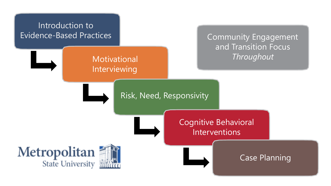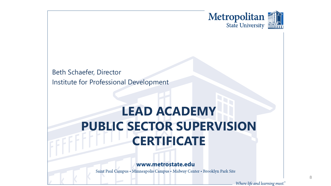

Beth Schaefer, Director Institute for Professional Development

## **LEAD ACADEMY PUBLIC SECTOR SUPERVISION CERTIFICATE**

www.metrostate.edu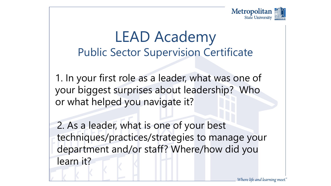

1. In your first role as a leader, what was one of your biggest surprises about leadership? Who or what helped you navigate it?

2. As a leader, what is one of your best techniques/practices/strategies to manage your department and/or staff? Where/how did you learn it?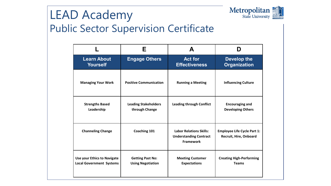

|                                    | Е                             | A                                                                                   | Ŋ                                                            |
|------------------------------------|-------------------------------|-------------------------------------------------------------------------------------|--------------------------------------------------------------|
| <b>Learn About</b>                 | <b>Engage Others</b>          | <b>Act for</b>                                                                      | Develop the                                                  |
| <b>Yourself</b>                    |                               | <b>Effectiveness</b>                                                                | <b>Organization</b>                                          |
| <b>Managing Your Work</b>          | <b>Positive Communication</b> | <b>Running a Meeting</b>                                                            | <b>Influencing Culture</b>                                   |
| <b>Strengths Based</b>             | <b>Leading Stakeholders</b>   | <b>Leading through Conflict</b>                                                     | <b>Encouraging and</b>                                       |
| Leadership                         | through Change                |                                                                                     | <b>Developing Others</b>                                     |
| <b>Channeling Change</b>           | Coaching 101                  | <b>Labor Relations Skills:</b><br><b>Understanding Contract</b><br><b>Framework</b> | <b>Employee Life Cycle Part 1:</b><br>Recruit, Hire, Onboard |
| <b>Use your Ethics to Navigate</b> | <b>Getting Past No:</b>       | <b>Meeting Customer</b>                                                             | <b>Creating High-Performing</b>                              |
| <b>Local Government Systems</b>    | <b>Using Negotiation</b>      | <b>Expectations</b>                                                                 | <b>Teams</b>                                                 |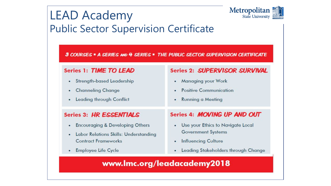

3 COURSES . A SERIES AND 4 SERIES . THE PUBLIC SECTOR SUPERVISION CERTIFICATE

### Series 1: TIME TO LEAD

- Strength-based Leadership ٠
- **Channeling Change** ٠
- **Leading through Conflict** ٠

## Series 3: HR ESSENTIALS

- **Encouraging & Developing Others** ٠
- **Labor Relations Skills: Understanding** ٠ **Contract Frameworks**
- **Employee Life Cycle** ٠

## Series 2: SUPERVISOR SURVIVAL

- **Managing your Work** ٠
- **Positive Communication**  $\bullet$
- **Running a Meeting** ۰

### Series 4: MOVING UP AND OUT

- Use your Ethics to Navigate Local ٠ **Government Systems**
- **Influencing Culture** ٠
- Leading Stakeholders through Change ٠

## www.lmc.org/leadacademy2018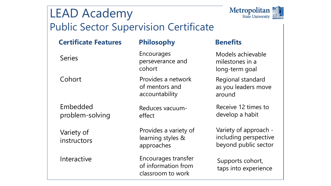

| <b>Certificate Features</b> | <b>Philosophy</b>                                               | <b>Benefits</b>                                                        |
|-----------------------------|-----------------------------------------------------------------|------------------------------------------------------------------------|
| <b>Series</b>               | Encourages<br>perseverance and<br>cohort                        | Models achievable<br>milestones in a<br>long-term goal                 |
| Cohort                      | Provides a network<br>of mentors and<br>accountability          | Regional standard<br>as you leaders move<br>around                     |
| Embedded<br>problem-solving | Reduces vacuum-<br>effect                                       | Receive 12 times to<br>develop a habit                                 |
| Variety of<br>instructors   | Provides a variety of<br>learning styles &<br>approaches        | Variety of approach -<br>including perspective<br>beyond public sector |
| Interactive                 | Encourages transfer<br>of information from<br>classroom to work | Supports cohort,<br>taps into experience                               |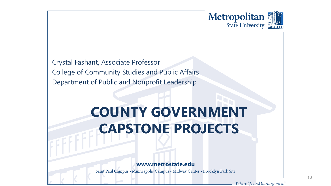

Crystal Fashant, Associate Professor College of Community Studies and Public Affairs Department of Public and Nonprofit Leadership

# **COUNTY GOVERNMENT CAPSTONE PROJECTS**

#### www.metrostate.edu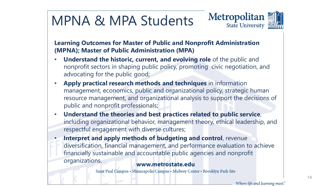# MPNA & MPA Students



**Learning Outcomes for Master of Public and Nonprofit Administration (MPNA); Master of Public Administration (MPA)**

- **Understand the historic, current, and evolving role** of the public and nonprofit sectors in shaping public policy, promoting civic negotiation, and advocating for the public good;
- **Apply practical research methods and techniques** in information management, economics, public and organizational policy, strategic human resource management, and organizational analysis to support the decisions of public and nonprofit professionals;
- **Understand the theories and best practices related to public service**, including organizational behavior, management theory, ethical leadership, and respectful engagement with diverse cultures;
- **Interpret and apply methods of budgeting and control**, revenue diversification, financial management, and performance evaluation to achieve financially sustainable and accountable public agencies and nonprofit organizations.

### www.metrostate.edu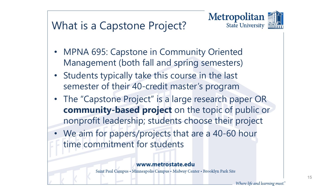

## What is a Capstone Project?

- MPNA 695: Capstone in Community Oriented Management (both fall and spring semesters)
- Students typically take this course in the last semester of their 40-credit master's program
- The "Capstone Project" is a large research paper OR **community-based project** on the topic of public or nonprofit leadership; students choose their project
- We aim for papers/projects that are a 40-60 hour time commitment for students

### www.metrostate.edu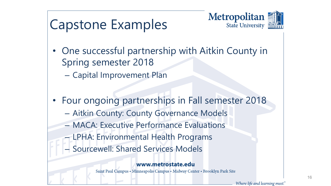

# Capstone Examples

- One successful partnership with Aitkin County in Spring semester 2018
	- Capital Improvement Plan
- Four ongoing partnerships in Fall semester 2018
	- Aitkin County: County Governance Models
	- MACA: Executive Performance Evaluations
	- LPHA: Environmental Health Programs
	- Sourcewell: Shared Services Models

### www.metrostate.edu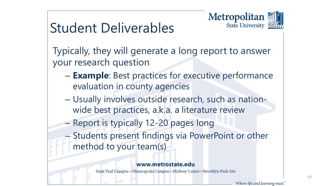

# Student Deliverables

Typically, they will generate a long report to answer your research question

- **Example**: Best practices for executive performance evaluation in county agencies
- Usually involves outside research, such as nationwide best practices, a.k.a. a literature review
- Report is typically 12-20 pages long
- Students present findings via PowerPoint or other method to your team(s)

### www.metrostate.edu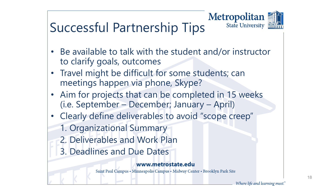

# Successful Partnership Tips

- Be available to talk with the student and/or instructor to clarify goals, outcomes
- Travel might be difficult for some students; can meetings happen via phone, Skype?
- Aim for projects that can be completed in 15 weeks (i.e. September – December; January – April)
- Clearly define deliverables to avoid "scope creep"
	- 1. Organizational Summary
	- 2. Deliverables and Work Plan
	- 3. Deadlines and Due Dates

### www.metrostate.edu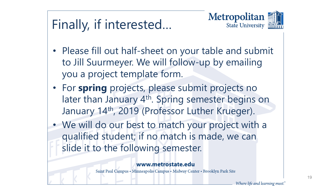# Finally, if interested…



- Please fill out half-sheet on your table and submit to Jill Suurmeyer. We will follow-up by emailing you a project template form.
- For **spring** projects, please submit projects no later than January 4<sup>th</sup>. Spring semester begins on January 14th, 2019 (Professor Luther Krueger).
- We will do our best to match your project with a qualified student; if no match is made, we can slide it to the following semester.

### www.metrostate.edu